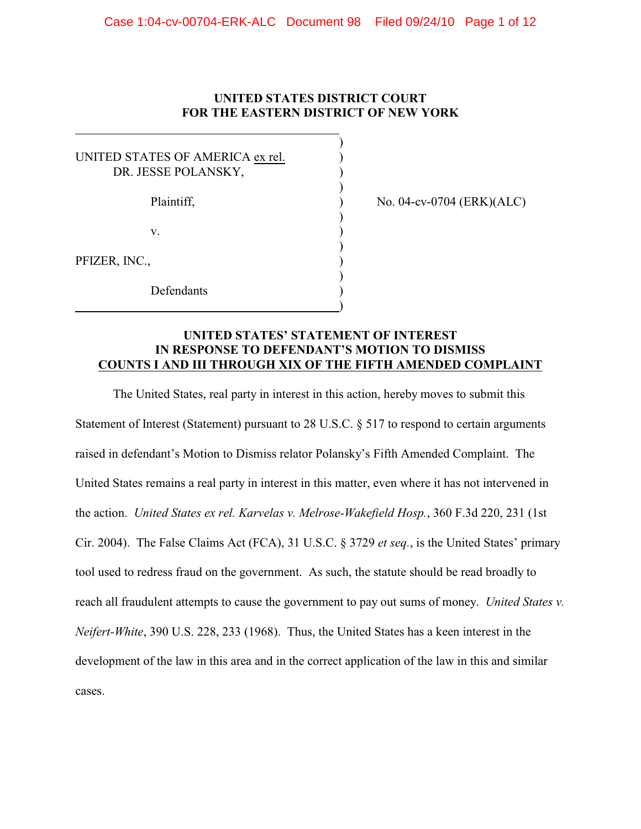# **UNITED STATES DISTRICT COURT FOR THE EASTERN DISTRICT OF NEW YORK**

)

| UNITED STATES OF AMERICA ex rel.<br>DR. JESSE POLANSKY, |  |
|---------------------------------------------------------|--|
| Plaintiff,                                              |  |
| V.                                                      |  |
| PFIZER, INC.,                                           |  |
| Defendants                                              |  |

 $\overline{a}$ 

 $P$  No. 04-cv-0704 (ERK)(ALC)

## **UNITED STATES' STATEMENT OF INTEREST IN RESPONSE TO DEFENDANT'S MOTION TO DISMISS COUNTS I AND III THROUGH XIX OF THE FIFTH AMENDED COMPLAINT**

The United States, real party in interest in this action, hereby moves to submit this Statement of Interest (Statement) pursuant to 28 U.S.C. § 517 to respond to certain arguments raised in defendant's Motion to Dismiss relator Polansky's Fifth Amended Complaint. The United States remains a real party in interest in this matter, even where it has not intervened in the action. *United States ex rel. Karvelas v. Melrose-Wakefield Hosp.*, 360 F.3d 220, 231 (1st Cir. 2004). The False Claims Act (FCA), 31 U.S.C. § 3729 *et seq.*, is the United States' primary tool used to redress fraud on the government. As such, the statute should be read broadly to reach all fraudulent attempts to cause the government to pay out sums of money. *United States v. Neifert-White*, 390 U.S. 228, 233 (1968). Thus, the United States has a keen interest in the development of the law in this area and in the correct application of the law in this and similar cases.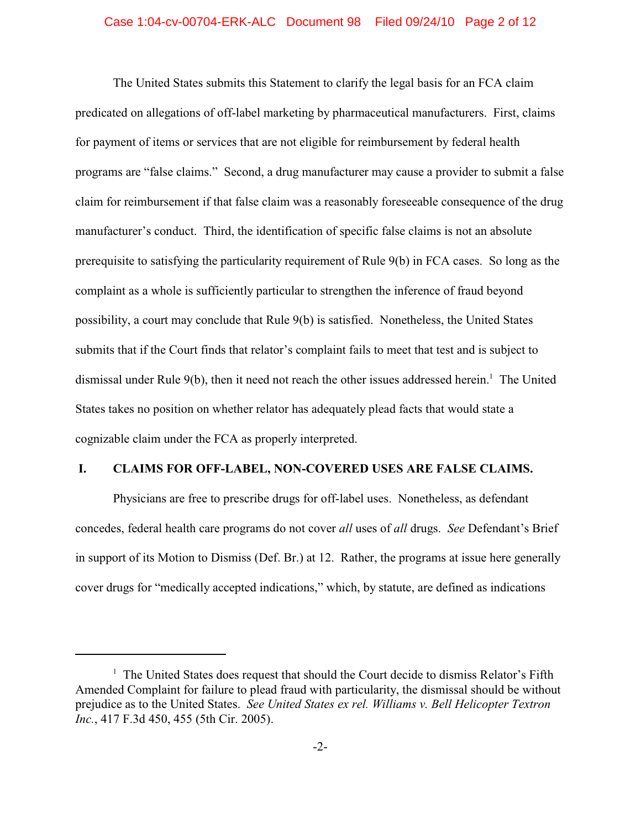#### Case 1:04-cv-00704-ERK-ALC Document 98 Filed 09/24/10 Page 2 of 12

The United States submits this Statement to clarify the legal basis for an FCA claim predicated on allegations of off-label marketing by pharmaceutical manufacturers. First, claims for payment of items or services that are not eligible for reimbursement by federal health programs are "false claims." Second, a drug manufacturer may cause a provider to submit a false claim for reimbursement if that false claim was a reasonably foreseeable consequence of the drug manufacturer's conduct. Third, the identification of specific false claims is not an absolute prerequisite to satisfying the particularity requirement of Rule 9(b) in FCA cases. So long as the complaint as a whole is sufficiently particular to strengthen the inference of fraud beyond possibility, a court may conclude that Rule 9(b) is satisfied. Nonetheless, the United States submits that if the Court finds that relator's complaint fails to meet that test and is subject to dismissal under Rule 9(b), then it need not reach the other issues addressed herein.<sup>1</sup> The United States takes no position on whether relator has adequately plead facts that would state a cognizable claim under the FCA as properly interpreted.

### **I. CLAIMS FOR OFF-LABEL, NON-COVERED USES ARE FALSE CLAIMS.**

Physicians are free to prescribe drugs for off-label uses. Nonetheless, as defendant concedes, federal health care programs do not cover *all* uses of *all* drugs. *See* Defendant's Brief in support of its Motion to Dismiss (Def. Br.) at 12. Rather, the programs at issue here generally cover drugs for "medically accepted indications," which, by statute, are defined as indications

 $<sup>1</sup>$  The United States does request that should the Court decide to dismiss Relator's Fifth</sup> Amended Complaint for failure to plead fraud with particularity, the dismissal should be without prejudice as to the United States. *See United States ex rel. Williams v. Bell Helicopter Textron Inc.*, 417 F.3d 450, 455 (5th Cir. 2005).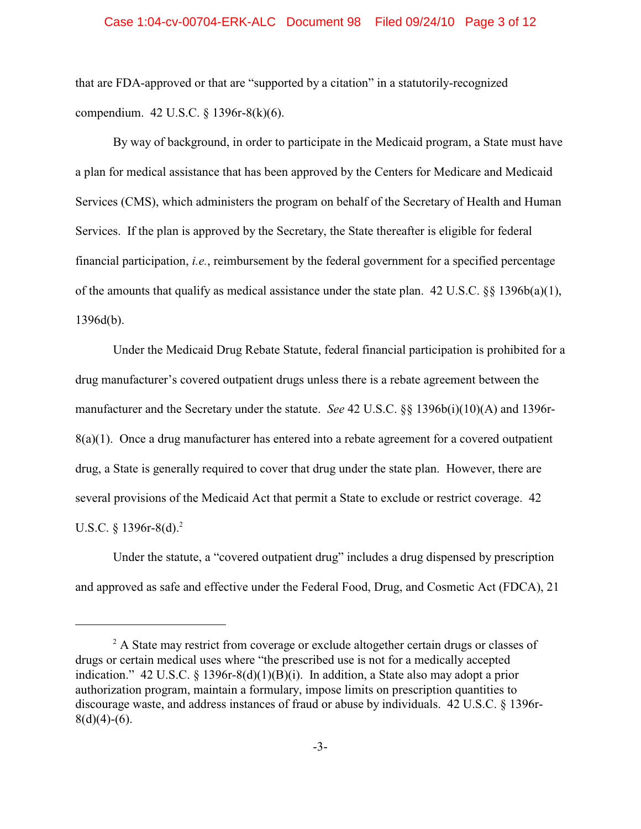#### Case 1:04-cv-00704-ERK-ALC Document 98 Filed 09/24/10 Page 3 of 12

that are FDA-approved or that are "supported by a citation" in a statutorily-recognized compendium. 42 U.S.C. § 1396r-8(k)(6).

By way of background, in order to participate in the Medicaid program, a State must have a plan for medical assistance that has been approved by the Centers for Medicare and Medicaid Services (CMS), which administers the program on behalf of the Secretary of Health and Human Services. If the plan is approved by the Secretary, the State thereafter is eligible for federal financial participation, *i.e.*, reimbursement by the federal government for a specified percentage of the amounts that qualify as medical assistance under the state plan.  $42 \text{ U.S.C. }$   $88 \text{ 1396b(a)(1)}$ , 1396d(b).

Under the Medicaid Drug Rebate Statute, federal financial participation is prohibited for a drug manufacturer's covered outpatient drugs unless there is a rebate agreement between the manufacturer and the Secretary under the statute. *See* 42 U.S.C. §§ 1396b(i)(10)(A) and 1396r- $8(a)(1)$ . Once a drug manufacturer has entered into a rebate agreement for a covered outpatient drug, a State is generally required to cover that drug under the state plan. However, there are several provisions of the Medicaid Act that permit a State to exclude or restrict coverage. 42 U.S.C.  $\frac{1396r-8(d)^2}{2}$ 

Under the statute, a "covered outpatient drug" includes a drug dispensed by prescription and approved as safe and effective under the Federal Food, Drug, and Cosmetic Act (FDCA), 21

<sup>&</sup>lt;sup>2</sup> A State may restrict from coverage or exclude altogether certain drugs or classes of drugs or certain medical uses where "the prescribed use is not for a medically accepted indication." 42 U.S.C. § 1396r-8(d)(1)(B)(i). In addition, a State also may adopt a prior authorization program, maintain a formulary, impose limits on prescription quantities to discourage waste, and address instances of fraud or abuse by individuals. 42 U.S.C. § 1396r- $8(d)(4)-(6)$ .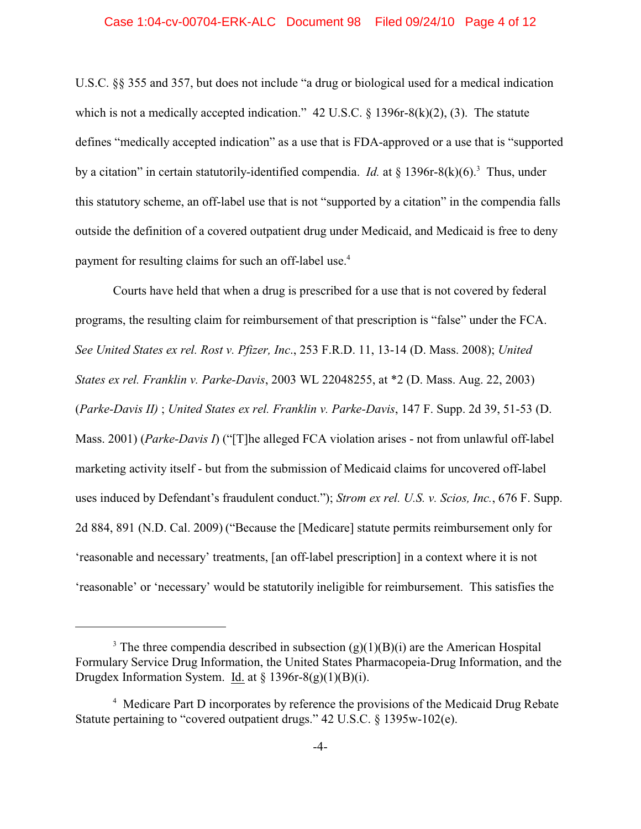#### Case 1:04-cv-00704-ERK-ALC Document 98 Filed 09/24/10 Page 4 of 12

U.S.C. §§ 355 and 357, but does not include "a drug or biological used for a medical indication which is not a medically accepted indication."  $42 \text{ U.S.C.}$  § 1396r-8(k)(2), (3). The statute defines "medically accepted indication" as a use that is FDA-approved or a use that is "supported by a citation" in certain statutorily-identified compendia. *Id.* at  $\S$  1396r-8(k)(6).<sup>3</sup> Thus, under this statutory scheme, an off-label use that is not "supported by a citation" in the compendia falls outside the definition of a covered outpatient drug under Medicaid, and Medicaid is free to deny payment for resulting claims for such an off-label use.<sup>4</sup>

Courts have held that when a drug is prescribed for a use that is not covered by federal programs, the resulting claim for reimbursement of that prescription is "false" under the FCA. *See United States ex rel. Rost v. Pfizer, Inc*., 253 F.R.D. 11, 13-14 (D. Mass. 2008); *United States ex rel. Franklin v. Parke-Davis*, 2003 WL 22048255, at \*2 (D. Mass. Aug. 22, 2003) (*Parke-Davis II)* ; *United States ex rel. Franklin v. Parke-Davis*, 147 F. Supp. 2d 39, 51-53 (D. Mass. 2001) (*Parke-Davis I*) ("[T]he alleged FCA violation arises - not from unlawful off-label marketing activity itself - but from the submission of Medicaid claims for uncovered off-label uses induced by Defendant's fraudulent conduct."); *Strom ex rel. U.S. v. Scios, Inc.*, 676 F. Supp. 2d 884, 891 (N.D. Cal. 2009) ("Because the [Medicare] statute permits reimbursement only for 'reasonable and necessary' treatments, [an off-label prescription] in a context where it is not 'reasonable' or 'necessary' would be statutorily ineligible for reimbursement. This satisfies the

<sup>&</sup>lt;sup>3</sup> The three compendia described in subsection  $(g)(1)(B)(i)$  are the American Hospital Formulary Service Drug Information, the United States Pharmacopeia-Drug Information, and the Drugdex Information System. Id. at § 1396r-8(g)(1)(B)(i).

<sup>&</sup>lt;sup>4</sup> Medicare Part D incorporates by reference the provisions of the Medicaid Drug Rebate Statute pertaining to "covered outpatient drugs." 42 U.S.C. § 1395w-102(e).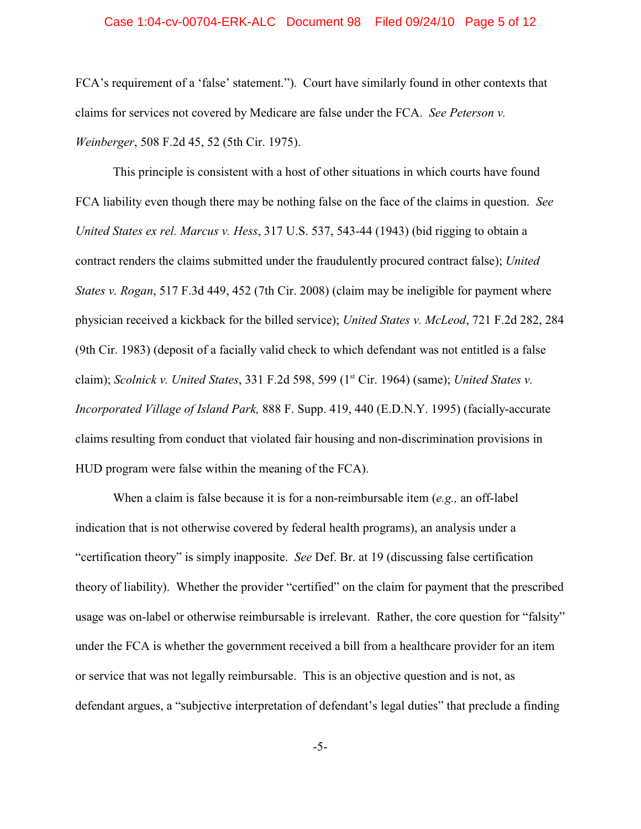#### Case 1:04-cv-00704-ERK-ALC Document 98 Filed 09/24/10 Page 5 of 12

FCA's requirement of a 'false' statement."). Court have similarly found in other contexts that claims for services not covered by Medicare are false under the FCA. *See Peterson v. Weinberger*, 508 F.2d 45, 52 (5th Cir. 1975).

This principle is consistent with a host of other situations in which courts have found FCA liability even though there may be nothing false on the face of the claims in question. *See United States ex rel. Marcus v. Hess*, 317 U.S. 537, 543-44 (1943) (bid rigging to obtain a contract renders the claims submitted under the fraudulently procured contract false); *United States v. Rogan*, 517 F.3d 449, 452 (7th Cir. 2008) (claim may be ineligible for payment where physician received a kickback for the billed service); *United States v. McLeod*, 721 F.2d 282, 284 (9th Cir. 1983) (deposit of a facially valid check to which defendant was not entitled is a false claim); *Scolnick v. United States*, 331 F.2d 598, 599 (1<sup>st</sup> Cir. 1964) (same); *United States v. Incorporated Village of Island Park,* 888 F. Supp. 419, 440 (E.D.N.Y. 1995) (facially-accurate claims resulting from conduct that violated fair housing and non-discrimination provisions in HUD program were false within the meaning of the FCA).

When a claim is false because it is for a non-reimbursable item (*e.g.,* an off-label indication that is not otherwise covered by federal health programs), an analysis under a "certification theory" is simply inapposite. *See* Def. Br. at 19 (discussing false certification theory of liability). Whether the provider "certified" on the claim for payment that the prescribed usage was on-label or otherwise reimbursable is irrelevant. Rather, the core question for "falsity" under the FCA is whether the government received a bill from a healthcare provider for an item or service that was not legally reimbursable. This is an objective question and is not, as defendant argues, a "subjective interpretation of defendant's legal duties" that preclude a finding

-5-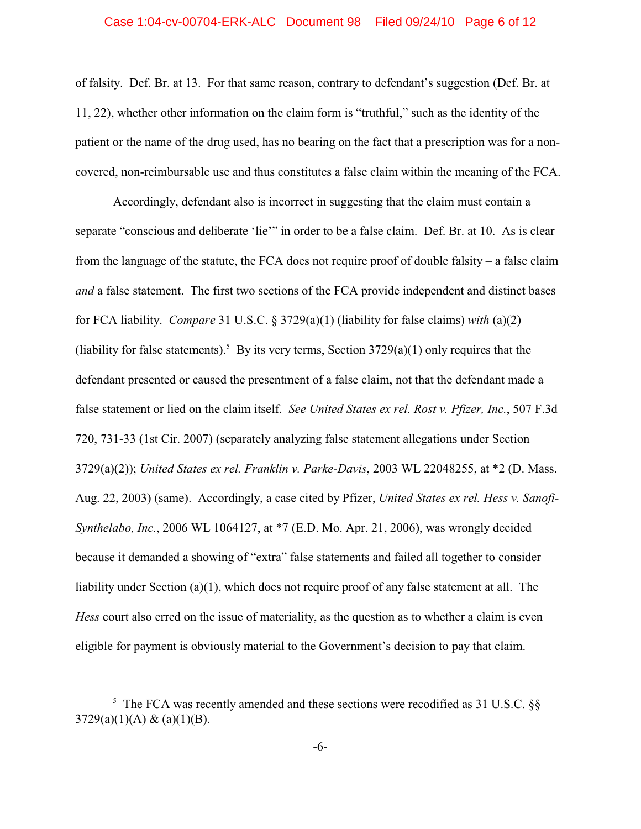#### Case 1:04-cv-00704-ERK-ALC Document 98 Filed 09/24/10 Page 6 of 12

of falsity. Def. Br. at 13. For that same reason, contrary to defendant's suggestion (Def. Br. at 11, 22), whether other information on the claim form is "truthful," such as the identity of the patient or the name of the drug used, has no bearing on the fact that a prescription was for a noncovered, non-reimbursable use and thus constitutes a false claim within the meaning of the FCA.

 Accordingly, defendant also is incorrect in suggesting that the claim must contain a separate "conscious and deliberate 'lie'" in order to be a false claim. Def. Br. at 10. As is clear from the language of the statute, the FCA does not require proof of double falsity – a false claim *and* a false statement. The first two sections of the FCA provide independent and distinct bases for FCA liability. *Compare* 31 U.S.C. § 3729(a)(1) (liability for false claims) *with* (a)(2) (liability for false statements).<sup>5</sup> By its very terms, Section  $3729(a)(1)$  only requires that the defendant presented or caused the presentment of a false claim, not that the defendant made a false statement or lied on the claim itself. *See United States ex rel. Rost v. Pfizer, Inc.*, 507 F.3d 720, 731-33 (1st Cir. 2007) (separately analyzing false statement allegations under Section 3729(a)(2)); *United States ex rel. Franklin v. Parke-Davis*, 2003 WL 22048255, at \*2 (D. Mass. Aug. 22, 2003) (same). Accordingly, a case cited by Pfizer, *United States ex rel. Hess v. Sanofi-Synthelabo, Inc.*, 2006 WL 1064127, at \*7 (E.D. Mo. Apr. 21, 2006), was wrongly decided because it demanded a showing of "extra" false statements and failed all together to consider liability under Section (a)(1), which does not require proof of any false statement at all. The *Hess* court also erred on the issue of materiality, as the question as to whether a claim is even eligible for payment is obviously material to the Government's decision to pay that claim.

 $5$  The FCA was recently amended and these sections were recodified as 31 U.S.C.  $\S$  $3729(a)(1)(A) & (a)(1)(B).$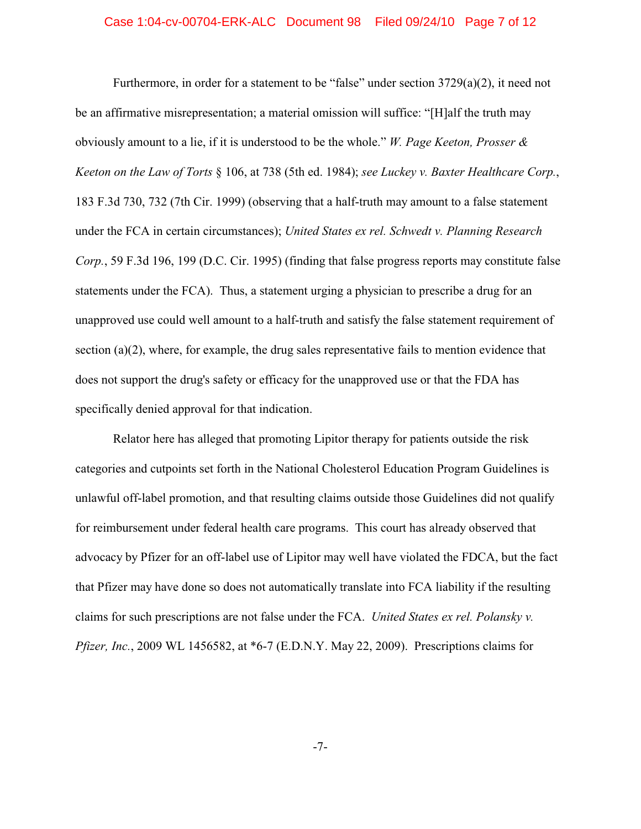#### Case 1:04-cv-00704-ERK-ALC Document 98 Filed 09/24/10 Page 7 of 12

Furthermore, in order for a statement to be "false" under section 3729(a)(2), it need not be an affirmative misrepresentation; a material omission will suffice: "[H]alf the truth may obviously amount to a lie, if it is understood to be the whole." *W. Page Keeton, Prosser & Keeton on the Law of Torts* § 106, at 738 (5th ed. 1984); *see Luckey v. Baxter Healthcare Corp.*, 183 F.3d 730, 732 (7th Cir. 1999) (observing that a half-truth may amount to a false statement under the FCA in certain circumstances); *United States ex rel. Schwedt v. Planning Research Corp.*, 59 F.3d 196, 199 (D.C. Cir. 1995) (finding that false progress reports may constitute false statements under the FCA). Thus, a statement urging a physician to prescribe a drug for an unapproved use could well amount to a half-truth and satisfy the false statement requirement of section  $(a)(2)$ , where, for example, the drug sales representative fails to mention evidence that does not support the drug's safety or efficacy for the unapproved use or that the FDA has specifically denied approval for that indication.

Relator here has alleged that promoting Lipitor therapy for patients outside the risk categories and cutpoints set forth in the National Cholesterol Education Program Guidelines is unlawful off-label promotion, and that resulting claims outside those Guidelines did not qualify for reimbursement under federal health care programs. This court has already observed that advocacy by Pfizer for an off-label use of Lipitor may well have violated the FDCA, but the fact that Pfizer may have done so does not automatically translate into FCA liability if the resulting claims for such prescriptions are not false under the FCA. *United States ex rel. Polansky v. Pfizer, Inc.*, 2009 WL 1456582, at \*6-7 (E.D.N.Y. May 22, 2009). Prescriptions claims for

-7-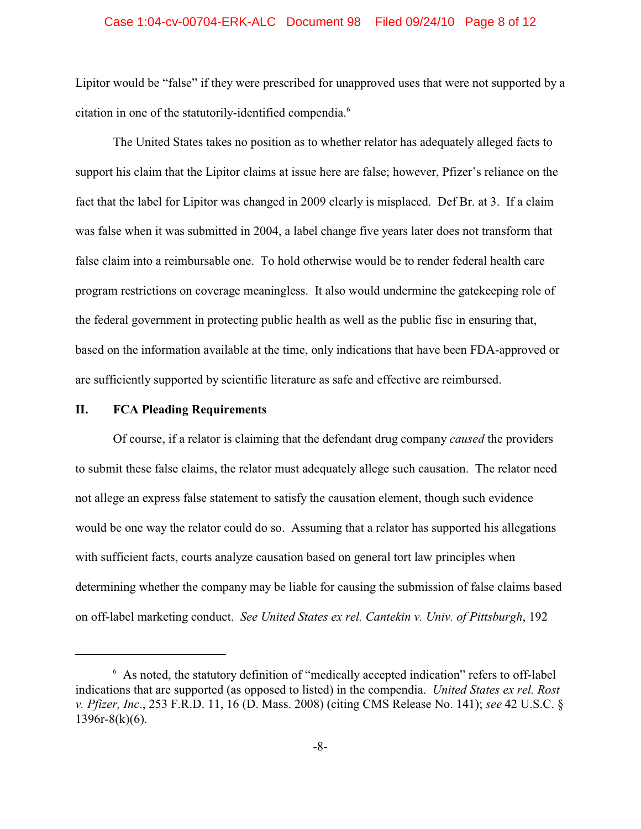#### Case 1:04-cv-00704-ERK-ALC Document 98 Filed 09/24/10 Page 8 of 12

Lipitor would be "false" if they were prescribed for unapproved uses that were not supported by a citation in one of the statutorily-identified compendia.<sup>6</sup>

The United States takes no position as to whether relator has adequately alleged facts to support his claim that the Lipitor claims at issue here are false; however, Pfizer's reliance on the fact that the label for Lipitor was changed in 2009 clearly is misplaced. Def Br. at 3. If a claim was false when it was submitted in 2004, a label change five years later does not transform that false claim into a reimbursable one. To hold otherwise would be to render federal health care program restrictions on coverage meaningless. It also would undermine the gatekeeping role of the federal government in protecting public health as well as the public fisc in ensuring that, based on the information available at the time, only indications that have been FDA-approved or are sufficiently supported by scientific literature as safe and effective are reimbursed.

### **II. FCA Pleading Requirements**

Of course, if a relator is claiming that the defendant drug company *caused* the providers to submit these false claims, the relator must adequately allege such causation. The relator need not allege an express false statement to satisfy the causation element, though such evidence would be one way the relator could do so. Assuming that a relator has supported his allegations with sufficient facts, courts analyze causation based on general tort law principles when determining whether the company may be liable for causing the submission of false claims based on off-label marketing conduct. *See United States ex rel. Cantekin v. Univ. of Pittsburgh*, 192

 $6$  As noted, the statutory definition of "medically accepted indication" refers to off-label indications that are supported (as opposed to listed) in the compendia. *United States ex rel. Rost v. Pfizer, Inc*., 253 F.R.D. 11, 16 (D. Mass. 2008) (citing CMS Release No. 141); *see* 42 U.S.C. §  $1396r-8(k)(6)$ .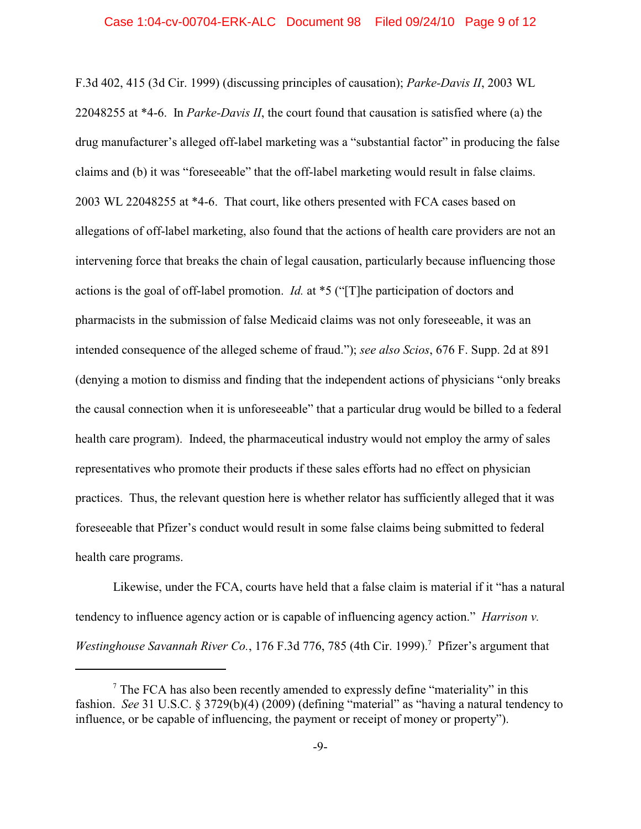F.3d 402, 415 (3d Cir. 1999) (discussing principles of causation); *Parke-Davis II*, 2003 WL 22048255 at \*4-6. In *Parke-Davis II*, the court found that causation is satisfied where (a) the drug manufacturer's alleged off-label marketing was a "substantial factor" in producing the false claims and (b) it was "foreseeable" that the off-label marketing would result in false claims. 2003 WL 22048255 at \*4-6. That court, like others presented with FCA cases based on allegations of off-label marketing, also found that the actions of health care providers are not an intervening force that breaks the chain of legal causation, particularly because influencing those actions is the goal of off-label promotion. *Id.* at \*5 ("[T]he participation of doctors and pharmacists in the submission of false Medicaid claims was not only foreseeable, it was an intended consequence of the alleged scheme of fraud."); *see also Scios*, 676 F. Supp. 2d at 891 (denying a motion to dismiss and finding that the independent actions of physicians "only breaks the causal connection when it is unforeseeable" that a particular drug would be billed to a federal health care program). Indeed, the pharmaceutical industry would not employ the army of sales representatives who promote their products if these sales efforts had no effect on physician practices. Thus, the relevant question here is whether relator has sufficiently alleged that it was foreseeable that Pfizer's conduct would result in some false claims being submitted to federal health care programs.

Likewise, under the FCA, courts have held that a false claim is material if it "has a natural tendency to influence agency action or is capable of influencing agency action." *Harrison v. Westinghouse Savannah River Co., 176 F.3d 776, 785 (4th Cir. 1999).*<sup>7</sup> Pfizer's argument that

 $\alpha$ <sup>7</sup> The FCA has also been recently amended to expressly define "materiality" in this fashion. *See* 31 U.S.C. § 3729(b)(4) (2009) (defining "material" as "having a natural tendency to influence, or be capable of influencing, the payment or receipt of money or property").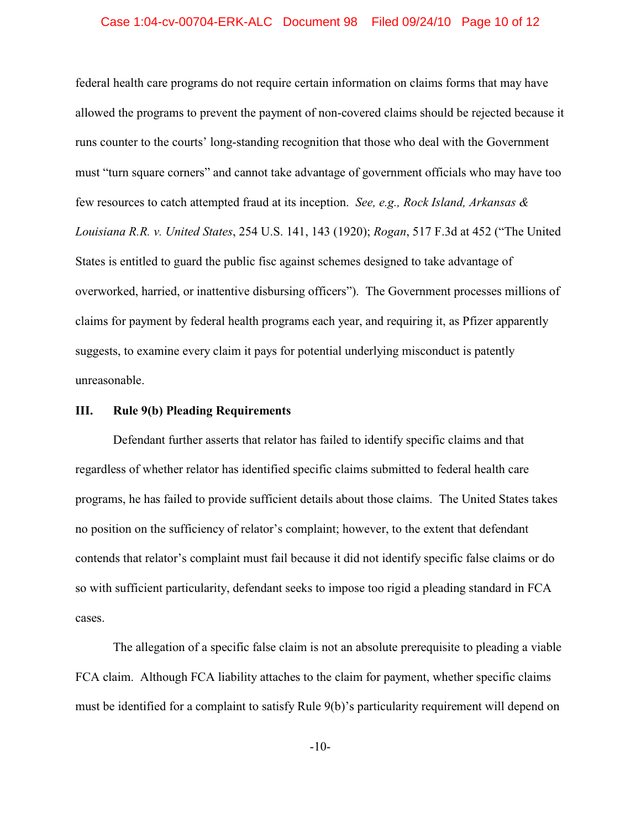#### Case 1:04-cv-00704-ERK-ALC Document 98 Filed 09/24/10 Page 10 of 12

federal health care programs do not require certain information on claims forms that may have allowed the programs to prevent the payment of non-covered claims should be rejected because it runs counter to the courts' long-standing recognition that those who deal with the Government must "turn square corners" and cannot take advantage of government officials who may have too few resources to catch attempted fraud at its inception. *See, e.g., Rock Island, Arkansas & Louisiana R.R. v. United States*, 254 U.S. 141, 143 (1920); *Rogan*, 517 F.3d at 452 ("The United States is entitled to guard the public fisc against schemes designed to take advantage of overworked, harried, or inattentive disbursing officers").The Government processes millions of claims for payment by federal health programs each year, and requiring it, as Pfizer apparently suggests, to examine every claim it pays for potential underlying misconduct is patently unreasonable.

### **III. Rule 9(b) Pleading Requirements**

Defendant further asserts that relator has failed to identify specific claims and that regardless of whether relator has identified specific claims submitted to federal health care programs, he has failed to provide sufficient details about those claims. The United States takes no position on the sufficiency of relator's complaint; however, to the extent that defendant contends that relator's complaint must fail because it did not identify specific false claims or do so with sufficient particularity, defendant seeks to impose too rigid a pleading standard in FCA cases.

The allegation of a specific false claim is not an absolute prerequisite to pleading a viable FCA claim. Although FCA liability attaches to the claim for payment, whether specific claims must be identified for a complaint to satisfy Rule 9(b)'s particularity requirement will depend on

-10-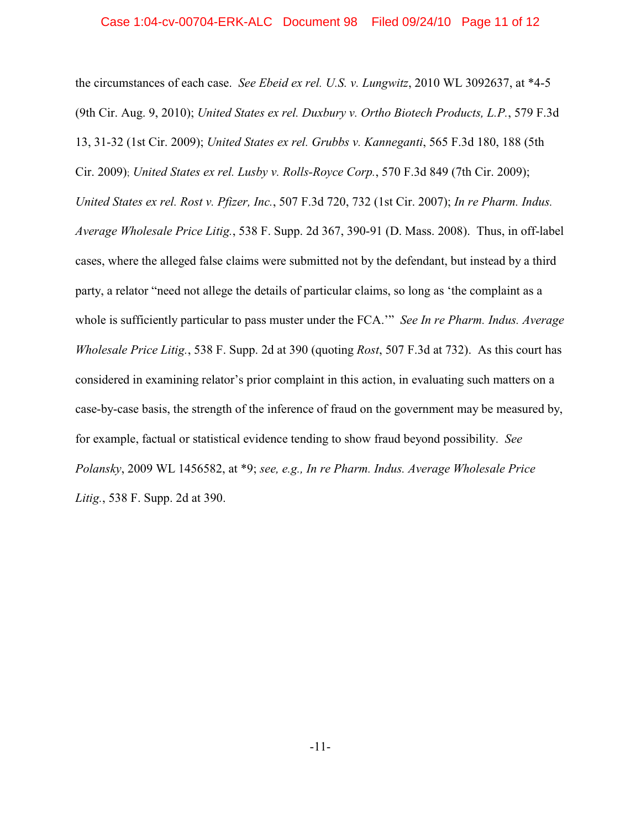the circumstances of each case. *See Ebeid ex rel. U.S. v. Lungwitz*, 2010 WL 3092637, at \*4-5 (9th Cir. Aug. 9, 2010); *United States ex rel. Duxbury v. Ortho Biotech Products, L.P.*, 579 F.3d 13, 31-32 (1st Cir. 2009); *United States ex rel. Grubbs v. Kanneganti*, 565 F.3d 180, 188 (5th Cir. 2009); *United States ex rel. Lusby v. Rolls-Royce Corp.*, 570 F.3d 849 (7th Cir. 2009); *United States ex rel. Rost v. Pfizer, Inc.*, 507 F.3d 720, 732 (1st Cir. 2007); *In re Pharm. Indus. Average Wholesale Price Litig.*, 538 F. Supp. 2d 367, 390-91 (D. Mass. 2008). Thus, in off-label cases, where the alleged false claims were submitted not by the defendant, but instead by a third party, a relator "need not allege the details of particular claims, so long as 'the complaint as a whole is sufficiently particular to pass muster under the FCA.'" *See In re Pharm. Indus. Average Wholesale Price Litig.*, 538 F. Supp. 2d at 390 (quoting *Rost*, 507 F.3d at 732). As this court has considered in examining relator's prior complaint in this action, in evaluating such matters on a case-by-case basis, the strength of the inference of fraud on the government may be measured by, for example, factual or statistical evidence tending to show fraud beyond possibility. *See Polansky*, 2009 WL 1456582, at \*9; *see, e.g., In re Pharm. Indus. Average Wholesale Price Litig.*, 538 F. Supp. 2d at 390.